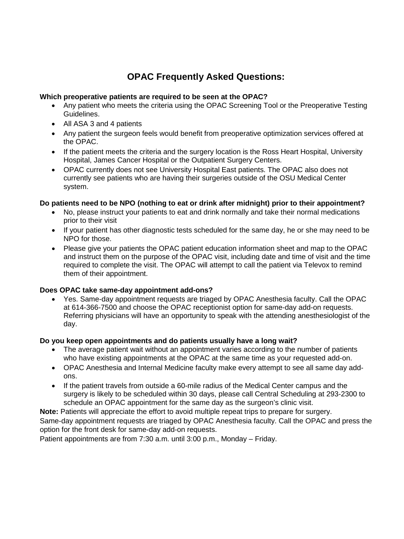# **OPAC Frequently Asked Questions:**

# **Which preoperative patients are required to be seen at the OPAC?**

- Any patient who meets the criteria using the OPAC Screening Tool or the Preoperative Testing Guidelines.
- All ASA 3 and 4 patients
- Any patient the surgeon feels would benefit from preoperative optimization services offered at the OPAC.
- If the patient meets the criteria and the surgery location is the Ross Heart Hospital, University Hospital, James Cancer Hospital or the Outpatient Surgery Centers.
- OPAC currently does not see University Hospital East patients. The OPAC also does not currently see patients who are having their surgeries outside of the OSU Medical Center system.

# **Do patients need to be NPO (nothing to eat or drink after midnight) prior to their appointment?**

- No, please instruct your patients to eat and drink normally and take their normal medications prior to their visit
- If your patient has other diagnostic tests scheduled for the same day, he or she may need to be NPO for those.
- Please give your patients the OPAC patient education information sheet and map to the OPAC and instruct them on the purpose of the OPAC visit, including date and time of visit and the time required to complete the visit. The OPAC will attempt to call the patient via Televox to remind them of their appointment.

# **Does OPAC take same-day appointment add-ons?**

• Yes. Same-day appointment requests are triaged by OPAC Anesthesia faculty. Call the OPAC at 614-366-7500 and choose the OPAC receptionist option for same-day add-on requests. Referring physicians will have an opportunity to speak with the attending anesthesiologist of the day.

# **Do you keep open appointments and do patients usually have a long wait?**

- The average patient wait without an appointment varies according to the number of patients who have existing appointments at the OPAC at the same time as your requested add-on.
- OPAC Anesthesia and Internal Medicine faculty make every attempt to see all same day addons.
- If the patient travels from outside a 60-mile radius of the Medical Center campus and the surgery is likely to be scheduled within 30 days, please call Central Scheduling at 293-2300 to schedule an OPAC appointment for the same day as the surgeon's clinic visit.

**Note:** Patients will appreciate the effort to avoid multiple repeat trips to prepare for surgery. Same-day appointment requests are triaged by OPAC Anesthesia faculty. Call the OPAC and press the option for the front desk for same-day add-on requests.

Patient appointments are from 7:30 a.m. until 3:00 p.m., Monday – Friday.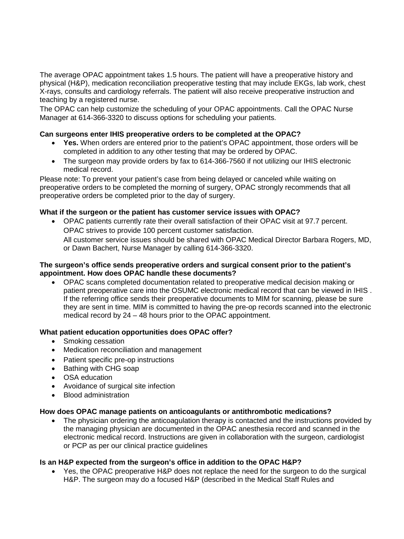The average OPAC appointment takes 1.5 hours. The patient will have a preoperative history and physical (H&P), medication reconciliation preoperative testing that may include EKGs, lab work, chest X-rays, consults and cardiology referrals. The patient will also receive preoperative instruction and teaching by a registered nurse.

The OPAC can help customize the scheduling of your OPAC appointments. Call the OPAC Nurse Manager at 614-366-3320 to discuss options for scheduling your patients.

## **Can surgeons enter IHIS preoperative orders to be completed at the OPAC?**

- **Yes.** When orders are entered prior to the patient's OPAC appointment, those orders will be completed in addition to any other testing that may be ordered by OPAC.
- The surgeon may provide orders by fax to 614-366-7560 if not utilizing our IHIS electronic medical record.

Please note: To prevent your patient's case from being delayed or canceled while waiting on preoperative orders to be completed the morning of surgery, OPAC strongly recommends that all preoperative orders be completed prior to the day of surgery.

## **What if the surgeon or the patient has customer service issues with OPAC?**

• OPAC patients currently rate their overall satisfaction of their OPAC visit at 97.7 percent. OPAC strives to provide 100 percent customer satisfaction. All customer service issues should be shared with OPAC Medical Director Barbara Rogers, MD, or Dawn Bachert, Nurse Manager by calling 614-366-3320.

#### **The surgeon's office sends preoperative orders and surgical consent prior to the patient's appointment. How does OPAC handle these documents?**

• OPAC scans completed documentation related to preoperative medical decision making or patient preoperative care into the OSUMC electronic medical record that can be viewed in IHIS . If the referring office sends their preoperative documents to MIM for scanning, please be sure they are sent in time. MIM is committed to having the pre-op records scanned into the electronic medical record by 24 – 48 hours prior to the OPAC appointment.

#### **What patient education opportunities does OPAC offer?**

- Smoking cessation
- Medication reconciliation and management
- Patient specific pre-op instructions
- Bathing with CHG soap
- OSA education
- Avoidance of surgical site infection
- Blood administration

#### **How does OPAC manage patients on anticoagulants or antithrombotic medications?**

The physician ordering the anticoagulation therapy is contacted and the instructions provided by the managing physician are documented in the OPAC anesthesia record and scanned in the electronic medical record. Instructions are given in collaboration with the surgeon, cardiologist or PCP as per our clinical practice guidelines

#### **Is an H&P expected from the surgeon's office in addition to the OPAC H&P?**

• Yes, the OPAC preoperative H&P does not replace the need for the surgeon to do the surgical H&P. The surgeon may do a focused H&P (described in the Medical Staff Rules and